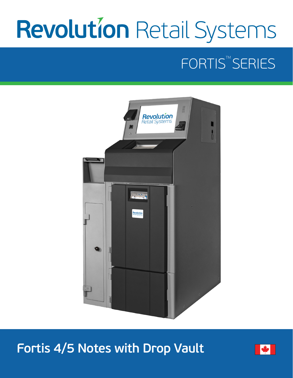# **Revolution Retail Systems**

## FORTIS<sup>™</sup>SERIES



**Fortis 4/5 Notes with Drop Vault**

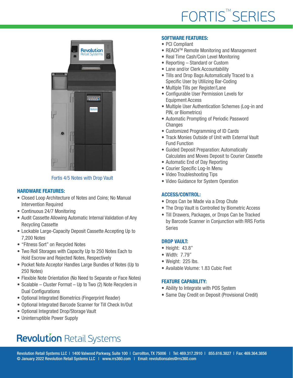

Fortis 4/5 Notes with Drop Vault

#### HARDWARE FEATURES:

- Closed Loop Architecture of Notes and Coins; No Manual Intervention Required
- Continuous 24/7 Monitoring
- Audit Cassette Allowing Automatic Internal Validation of Any Recycling Cassette
- Lockable Large-Capacity Deposit Cassette Accepting Up to 7,200 Notes
- "Fitness Sort" on Recycled Notes
- Two Roll Storages with Capacity Up to 250 Notes Each to Hold Escrow and Rejected Notes, Respectively
- Pocket Note Acceptor Handles Large Bundles of Notes (Up to 250 Notes)
- Flexible Note Orientation (No Need to Separate or Face Notes)
- Scalable Cluster Format Up to Two (2) Note Recyclers in Dual Configurations
- Optional Integrated Biometrics (Fingerprint Reader)
- Optional Integrated Barcode Scanner for Till Check In/Out
- Optional Integrated Drop/Storage Vault
- Uninterruptible Power Supply

#### SOFTWARE FEATURES:

- PCI Compliant
- REACH<sup>™</sup> Remote Monitoring and Management
- Real Time Cash/Coin Level Monitoring
- Reporting Standard or Custom
- Lane and/or Clerk Accountability
- Tills and Drop Bags Automatically Traced to a Specific User by Utilizing Bar-Coding
- Multiple Tills per Register/Lane
- Configurable User Permission Levels for Equipment Access
- Multiple User Authentication Schemes (Log-in and PIN, or Biometrics)
- Automatic Prompting of Periodic Password **Changes**
- Customized Programming of ID Cards
- Track Monies Outside of Unit with External Vault Fund Function
- Guided Deposit Preparation: Automatically Calculates and Moves Deposit to Courier Cassette
- Automatic End of Day Reporting
- Courier Specific Log-In Menu
- Video Troubleshooting Tips
- Video Guidance for System Operation

### ACCESS/CONTROL:

- Drops Can be Made via a Drop Chute
- The Drop Vault is Controlled by Biometric Access
- Till Drawers, Packages, or Drops Can be Tracked by Barcode Scanner in Conjunction with RRS Fortis Series

## DROP VAULT:

- Height: 43.8"
- Width: 7.79"
- Weight: 225 lbs.
- Available Volume: 1.83 Cubic Feet

## FEATURE CAPABILITY:

- Ability to Integrate with POS System
- Same Day Credit on Deposit (Provisional Credit)

## **Revolution Retail Systems**

Revolution Retail Systems LLC | 1400 Valwood Parkway, Suite 100 | Carrollton, TX 75006 | Tel: 469.317.2910 | 855.616.3827 | Fax: 469.364.3856 © January 2022 Revolution Retail Systems LLC | www.rrs360.com | Email: revolutionsales@rrs360.com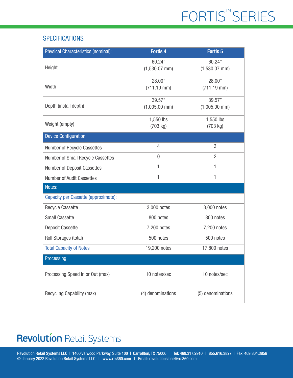## **SPECIFICATIONS**

| <b>Physical Characteristics (nominal):</b> | <b>Fortis 4</b>            | <b>Fortis 5</b>            |
|--------------------------------------------|----------------------------|----------------------------|
| Height                                     | 60.24"<br>$(1,530.07$ mm)  | 60.24"<br>$(1,530.07$ mm)  |
| Width                                      | 28.00"<br>$(711.19$ mm $)$ | 28.00"<br>$(711.19$ mm $)$ |
| Depth (install depth)                      | 39.57"<br>$(1,005.00$ mm)  | 39.57"<br>$(1,005.00$ mm)  |
| Weight (empty)                             | 1,550 lbs<br>(703 kg)      | 1,550 lbs<br>(703 kg)      |
| <b>Device Configuration:</b>               |                            |                            |
| Number of Recycle Cassettes                | $\overline{4}$             | 3                          |
| Number of Small Recycle Cassettes          | 0                          | $\overline{2}$             |
| Number of Deposit Cassettes                | 1                          | 1                          |
| <b>Number of Audit Cassettes</b>           | 1                          | 1                          |
| Notes:                                     |                            |                            |
| Capacity per Cassette (approximate):       |                            |                            |
| <b>Recycle Cassette</b>                    | 3,000 notes                | 3,000 notes                |
| <b>Small Cassette</b>                      | 800 notes                  | 800 notes                  |
| Deposit Cassette                           | 7,200 notes                | 7,200 notes                |
| Roll Storages (total)                      | 500 notes                  | 500 notes                  |
| <b>Total Capacity of Notes</b>             | 19,200 notes               | 17,800 notes               |
| Processing:                                |                            |                            |
| Processing Speed In or Out (max)           | 10 notes/sec               | 10 notes/sec               |
| Recycling Capability (max)                 | (4) denominations          | (5) denominations          |

## **Revolution Retail Systems**

Revolution Retail Systems LLC | 1400 Valwood Parkway, Suite 100 | Carrollton, TX 75006 | Tel: 469.317.2910 | 855.616.3827 | Fax: 469.364.3856 © January 2022 Revolution Retail Systems LLC | www.rrs360.com | Email: revolutionsales@rrs360.com